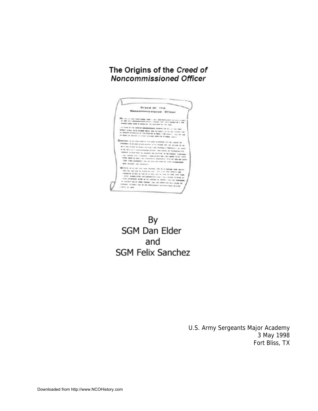## The Origins of the Creed of Noncommissioned Officer



By SGM Dan Elder and **SGM Felix Sanchez** 

> U.S. Army Sergeants Major Academy 3 May 1998 Fort Bliss, TX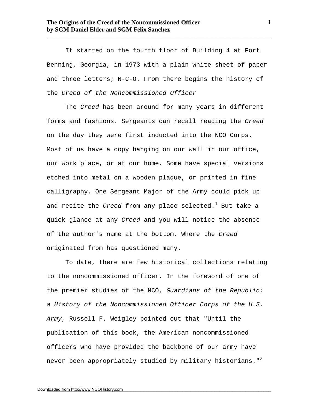It started on the fourth floor of Building 4 at Fort Benning, Georgia, in 1973 with a plain white sheet of paper and three letters; N-C-O. From there begins the history of the *Creed of the Noncommissioned Officer*

\_\_\_\_\_\_\_\_\_\_\_\_\_\_\_\_\_\_\_\_\_\_\_\_\_\_\_\_\_\_\_\_\_\_\_\_\_\_\_\_\_\_\_\_\_\_\_\_\_\_\_\_\_\_\_\_\_\_\_\_\_\_\_\_\_\_\_\_\_\_\_\_

The *Creed* has been around for many years in different forms and fashions. Sergeants can recall reading the *Creed* on the day they were first inducted into the NCO Corps. Most of us have a copy hanging on our wall in our office, our work place, or at our home. Some have special versions etched into metal on a wooden plaque, or printed in fine calligraphy. One Sergeant Major of the Army could pick up and recite the *Creed* from any place selected.<sup>1</sup> But take a quick glance at any *Creed* and you will notice the absence of the author's name at the bottom. Where the *Creed*  originated from has questioned many.

To date, there are few historical collections relating to the noncommissioned officer. In the foreword of one of the premier studies of the NCO, *Guardians of the Republic: a History of the Noncommissioned Officer Corps of the U.S. Army*, Russell F. Weigley pointed out that "Until the publication of this book, the American noncommissioned officers who have provided the backbone of our army have never been appropriately studied by military historians."<sup>2</sup>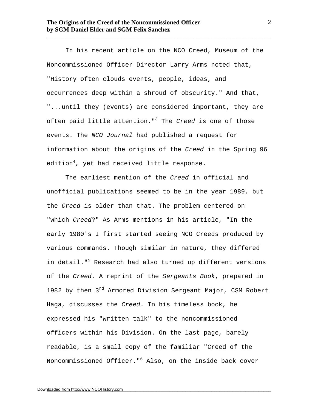In his recent article on the NCO Creed, Museum of the Noncommissioned Officer Director Larry Arms noted that, "History often clouds events, people, ideas, and occurrences deep within a shroud of obscurity." And that, "...until they (events) are considered important, they are often paid little attention."<sup>3</sup> The *Creed* is one of those events. The *NCO Journal* had published a request for information about the origins of the *Creed* in the Spring 96 edition<sup>4</sup>, yet had received little response.

\_\_\_\_\_\_\_\_\_\_\_\_\_\_\_\_\_\_\_\_\_\_\_\_\_\_\_\_\_\_\_\_\_\_\_\_\_\_\_\_\_\_\_\_\_\_\_\_\_\_\_\_\_\_\_\_\_\_\_\_\_\_\_\_\_\_\_\_\_\_\_\_

The earliest mention of the *Creed* in official and unofficial publications seemed to be in the year 1989, but the *Creed* is older than that. The problem centered on "which *Creed*?" As Arms mentions in his article, "In the early 1980's I first started seeing NCO Creeds produced by various commands. Though similar in nature, they differed in detail."<sup>5</sup> Research had also turned up different versions of the *Creed.* A reprint of the *Sergeants Book*, prepared in 1982 by then  $3^{rd}$  Armored Division Sergeant Major, CSM Robert Haga, discusses the *Creed*. In his timeless book, he expressed his "written talk" to the noncommissioned officers within his Division. On the last page, barely readable, is a small copy of the familiar "Creed of the Noncommissioned Officer."<sup>6</sup> Also, on the inside back cover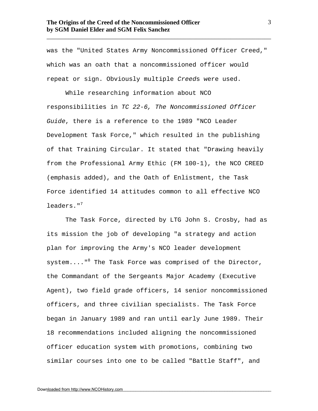was the "United States Army Noncommissioned Officer Creed," which was an oath that a noncommissioned officer would repeat or sign. Obviously multiple *Creed*s were used.

\_\_\_\_\_\_\_\_\_\_\_\_\_\_\_\_\_\_\_\_\_\_\_\_\_\_\_\_\_\_\_\_\_\_\_\_\_\_\_\_\_\_\_\_\_\_\_\_\_\_\_\_\_\_\_\_\_\_\_\_\_\_\_\_\_\_\_\_\_\_\_\_

While researching information about NCO responsibilities in *TC 22-6, The Noncommissioned Officer Guide*, there is a reference to the 1989 "NCO Leader Development Task Force," which resulted in the publishing of that Training Circular. It stated that "Drawing heavily from the Professional Army Ethic (FM 100-1), the NCO CREED (emphasis added), and the Oath of Enlistment, the Task Force identified 14 attitudes common to all effective NCO leaders."<sup>7</sup>

The Task Force, directed by LTG John S. Crosby, had as its mission the job of developing "a strategy and action plan for improving the Army's NCO leader development system...."<sup>8</sup> The Task Force was comprised of the Director, the Commandant of the Sergeants Major Academy (Executive Agent), two field grade officers, 14 senior noncommissioned officers, and three civilian specialists. The Task Force began in January 1989 and ran until early June 1989. Their 18 recommendations included aligning the noncommissioned officer education system with promotions, combining two similar courses into one to be called "Battle Staff", and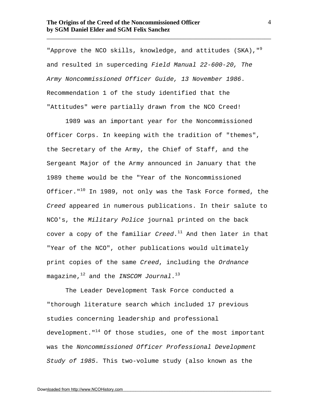"Approve the NCO skills, knowledge, and attitudes (SKA), "<sup>9</sup> and resulted in superceding *Field Manual 22-600-20, The Army Noncommissioned Officer Guide, 13 November 1986*. Recommendation 1 of the study identified that the "Attitudes" were partially drawn from the NCO Creed!

\_\_\_\_\_\_\_\_\_\_\_\_\_\_\_\_\_\_\_\_\_\_\_\_\_\_\_\_\_\_\_\_\_\_\_\_\_\_\_\_\_\_\_\_\_\_\_\_\_\_\_\_\_\_\_\_\_\_\_\_\_\_\_\_\_\_\_\_\_\_\_\_

1989 was an important year for the Noncommissioned Officer Corps. In keeping with the tradition of "themes", the Secretary of the Army, the Chief of Staff, and the Sergeant Major of the Army announced in January that the 1989 theme would be the "Year of the Noncommissioned Officer." $10$  In 1989, not only was the Task Force formed, the *Creed* appeared in numerous publications. In their salute to NCO's, the *Military Police* journal printed on the back cover a copy of the familiar *Creed*. <sup>11</sup> And then later in that "Year of the NCO", other publications would ultimately print copies of the same *Creed*, including the *Ordnance* magazine,<sup>12</sup> and the *INSCOM Journal*. 13

The Leader Development Task Force conducted a "thorough literature search which included 17 previous studies concerning leadership and professional development." $14$  Of those studies, one of the most important was the *Noncommissioned Officer Professional Development Study of 1985.* This two-volume study (also known as the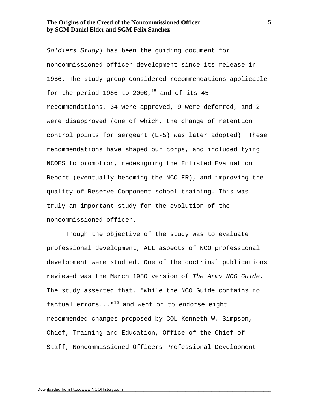*Soldiers Study*) has been the guiding document for noncommissioned officer development since its release in 1986. The study group considered recommendations applicable for the period 1986 to 2000,<sup>15</sup> and of its 45 recommendations, 34 were approved, 9 were deferred, and 2 were disapproved (one of which, the change of retention control points for sergeant (E-5) was later adopted). These recommendations have shaped our corps, and included tying NCOES to promotion, redesigning the Enlisted Evaluation Report (eventually becoming the NCO-ER), and improving the quality of Reserve Component school training. This was truly an important study for the evolution of the noncommissioned officer.

\_\_\_\_\_\_\_\_\_\_\_\_\_\_\_\_\_\_\_\_\_\_\_\_\_\_\_\_\_\_\_\_\_\_\_\_\_\_\_\_\_\_\_\_\_\_\_\_\_\_\_\_\_\_\_\_\_\_\_\_\_\_\_\_\_\_\_\_\_\_\_\_

Though the objective of the study was to evaluate professional development, ALL aspects of NCO professional development were studied. One of the doctrinal publications reviewed was the March 1980 version of *The Army NCO Guide*. The study asserted that, "While the NCO Guide contains no factual  $errors...$ "<sup>16</sup> and went on to endorse eight recommended changes proposed by COL Kenneth W. Simpson, Chief, Training and Education, Office of the Chief of Staff, Noncommissioned Officers Professional Development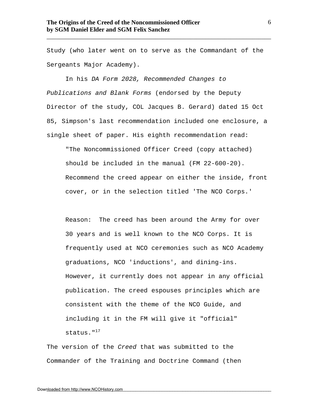Study (who later went on to serve as the Commandant of the Sergeants Major Academy).

\_\_\_\_\_\_\_\_\_\_\_\_\_\_\_\_\_\_\_\_\_\_\_\_\_\_\_\_\_\_\_\_\_\_\_\_\_\_\_\_\_\_\_\_\_\_\_\_\_\_\_\_\_\_\_\_\_\_\_\_\_\_\_\_\_\_\_\_\_\_\_\_

In his *DA Form 2028, Recommended Changes to Publications and Blank Forms* (endorsed by the Deputy Director of the study, COL Jacques B. Gerard) dated 15 Oct 85, Simpson's last recommendation included one enclosure, a single sheet of paper. His eighth recommendation read:

"The Noncommissioned Officer Creed (copy attached) should be included in the manual (FM 22-600-20). Recommend the creed appear on either the inside, front cover, or in the selection titled 'The NCO Corps.'

Reason: The creed has been around the Army for over 30 years and is well known to the NCO Corps. It is frequently used at NCO ceremonies such as NCO Academy graduations, NCO 'inductions', and dining-ins. However, it currently does not appear in any official publication. The creed espouses principles which are consistent with the theme of the NCO Guide, and including it in the FM will give it "official" status."<sup>17</sup>

The version of the *Creed* that was submitted to the Commander of the Training and Doctrine Command (then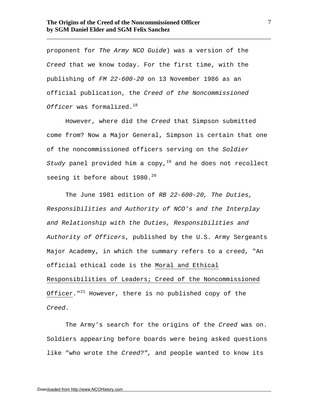proponent for *The Army NCO Guide*) was a version of the *Creed* that we know today. For the first time, with the publishing of *FM 22-600-20* on 13 November 1986 as an official publication, the *Creed of the Noncommissioned Officer* was formalized.<sup>18</sup>

\_\_\_\_\_\_\_\_\_\_\_\_\_\_\_\_\_\_\_\_\_\_\_\_\_\_\_\_\_\_\_\_\_\_\_\_\_\_\_\_\_\_\_\_\_\_\_\_\_\_\_\_\_\_\_\_\_\_\_\_\_\_\_\_\_\_\_\_\_\_\_\_

However, where did the *Creed* that Simpson submitted come from? Now a Major General, Simpson is certain that one of the noncommissioned officers serving on the *Soldier Study* panel provided him a copy,<sup>19</sup> and he does not recollect seeing it before about  $1980.^{20}$ 

The June 1981 edition of *RB 22-600-20, The Duties, Responsibilities and Authority of NCO's and the Interplay and Relationship with the Duties, Responsibilities and Authority of Officers*, published by the U.S. Army Sergeants Major Academy, in which the summary refers to a creed, "An official ethical code is the Moral and Ethical Responsibilities of Leaders; Creed of the Noncommissioned Officer."<sup>21</sup> However, there is no published copy of the *Creed*.

The Army's search for the origins of the *Creed* was on. Soldiers appearing before boards were being asked questions like "who wrote the *Creed?",* and people wanted to know its

7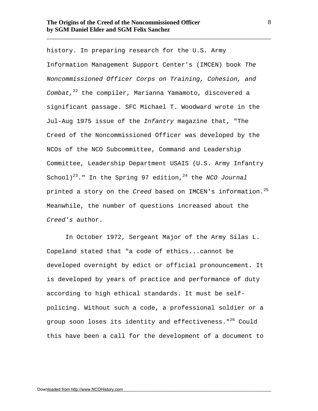history. In preparing research for the U.S. Army Information Management Support Center's (IMCEN) book *The Noncommissioned Officer Corps on Training, Cohesion, and Combat,*<sup>22</sup> the compiler, Marianna Yamamoto, discovered a significant passage. SFC Michael T. Woodward wrote in the Jul-Aug 1975 issue of the *Infantry* magazine that, "The Creed of the Noncommissioned Officer was developed by the NCOs of the NCO Subcommittee, Command and Leadership Committee, Leadership Department USAIS (U.S. Army Infantry School)<sup>23</sup>." In the Spring 97 edition,<sup>24</sup> the *NCO Journal* printed a story on the *Creed* based on IMCEN's information.<sup>25</sup> Meanwhile, the number of questions increased about the *Creed's* author.

\_\_\_\_\_\_\_\_\_\_\_\_\_\_\_\_\_\_\_\_\_\_\_\_\_\_\_\_\_\_\_\_\_\_\_\_\_\_\_\_\_\_\_\_\_\_\_\_\_\_\_\_\_\_\_\_\_\_\_\_\_\_\_\_\_\_\_\_\_\_\_\_

In October 1972, Sergeant Major of the Army Silas L. Copeland stated that "a code of ethics...cannot be developed overnight by edict or official pronouncement. It is developed by years of practice and performance of duty according to high ethical standards. It must be selfpolicing. Without such a code, a professional soldier or a group soon loses its identity and effectiveness."<sup>26</sup> Could this have been a call for the development of a document to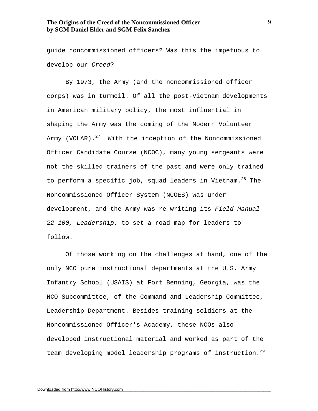guide noncommissioned officers? Was this the impetuous to develop our *Creed*?

\_\_\_\_\_\_\_\_\_\_\_\_\_\_\_\_\_\_\_\_\_\_\_\_\_\_\_\_\_\_\_\_\_\_\_\_\_\_\_\_\_\_\_\_\_\_\_\_\_\_\_\_\_\_\_\_\_\_\_\_\_\_\_\_\_\_\_\_\_\_\_\_

By 1973, the Army (and the noncommissioned officer corps) was in turmoil. Of all the post-Vietnam developments in American military policy, the most influential in shaping the Army was the coming of the Modern Volunteer Army (VOLAR). $27$  With the inception of the Noncommissioned Officer Candidate Course (NCOC), many young sergeants were not the skilled trainers of the past and were only trained to perform a specific job, squad leaders in Vietnam.  $28$  The Noncommissioned Officer System (NCOES) was under development, and the Army was re-writing its *Field Manual 22-100, Leadership*, to set a road map for leaders to follow.

Of those working on the challenges at hand, one of the only NCO pure instructional departments at the U.S. Army Infantry School (USAIS) at Fort Benning, Georgia, was the NCO Subcommittee, of the Command and Leadership Committee, Leadership Department. Besides training soldiers at the Noncommissioned Officer's Academy, these NCOs also developed instructional material and worked as part of the team developing model leadership programs of instruction.<sup>29</sup>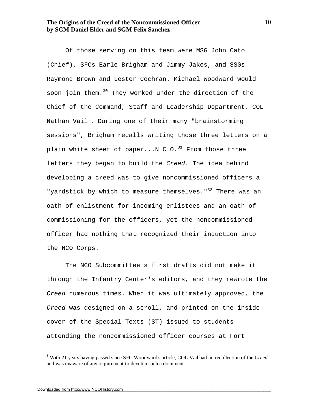Of those serving on this team were MSG John Cato (Chief), SFCs Earle Brigham and Jimmy Jakes, and SSGs Raymond Brown and Lester Cochran. Michael Woodward would soon join them.<sup>30</sup> They worked under the direction of the Chief of the Command, Staff and Leadership Department, COL Nathan Vail†. During one of their many "brainstorming sessions", Brigham recalls writing those three letters on a plain white sheet of paper...N  $C$  O.<sup>31</sup> From those three letters they began to build the *Creed*. The idea behind developing a creed was to give noncommissioned officers a "yardstick by which to measure themselves."<sup>32</sup> There was an oath of enlistment for incoming enlistees and an oath of commissioning for the officers, yet the noncommissioned officer had nothing that recognized their induction into the NCO Corps.

\_\_\_\_\_\_\_\_\_\_\_\_\_\_\_\_\_\_\_\_\_\_\_\_\_\_\_\_\_\_\_\_\_\_\_\_\_\_\_\_\_\_\_\_\_\_\_\_\_\_\_\_\_\_\_\_\_\_\_\_\_\_\_\_\_\_\_\_\_\_\_\_

The NCO Subcommittee's first drafts did not make it through the Infantry Center's editors, and they rewrote the *Creed* numerous times. When it was ultimately approved, the *Creed* was designed on a scroll, and printed on the inside cover of the Special Texts (ST) issued to students attending the noncommissioned officer courses at Fort

10

 $\overline{a}$ 

<sup>†</sup> With 21 years having passed since SFC Woodward's article, COL Vail had no recollection of the *Creed* and was unaware of any requirement to develop such a document.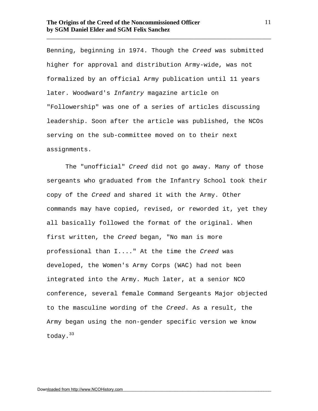Benning, beginning in 1974. Though the *Creed* was submitted higher for approval and distribution Army-wide, was not formalized by an official Army publication until 11 years later. Woodward's *Infantry* magazine article on "Followership" was one of a series of articles discussing leadership. Soon after the article was published, the NCOs serving on the sub-committee moved on to their next assignments.

\_\_\_\_\_\_\_\_\_\_\_\_\_\_\_\_\_\_\_\_\_\_\_\_\_\_\_\_\_\_\_\_\_\_\_\_\_\_\_\_\_\_\_\_\_\_\_\_\_\_\_\_\_\_\_\_\_\_\_\_\_\_\_\_\_\_\_\_\_\_\_\_

The "unofficial" *Creed* did not go away. Many of those sergeants who graduated from the Infantry School took their copy of the *Creed* and shared it with the Army. Other commands may have copied, revised, or reworded it, yet they all basically followed the format of the original. When first written, the *Creed* began, "No man is more professional than I...." At the time the *Creed* was developed, the Women's Army Corps (WAC) had not been integrated into the Army. Much later, at a senior NCO conference, several female Command Sergeants Major objected to the masculine wording of the *Creed*. As a result, the Army began using the non-gender specific version we know today.<sup>33</sup>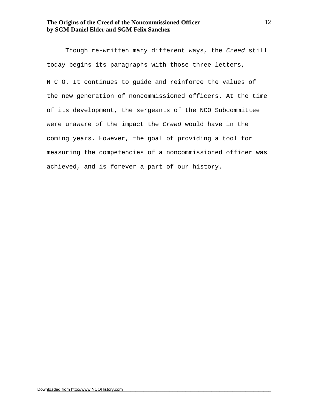Though re-written many different ways, the *Creed* still today begins its paragraphs with those three letters, N C O. It continues to guide and reinforce the values of the new generation of noncommissioned officers. At the time of its development, the sergeants of the NCO Subcommittee were unaware of the impact the *Creed* would have in the coming years. However, the goal of providing a tool for measuring the competencies of a noncommissioned officer was achieved, and is forever a part of our history.

\_\_\_\_\_\_\_\_\_\_\_\_\_\_\_\_\_\_\_\_\_\_\_\_\_\_\_\_\_\_\_\_\_\_\_\_\_\_\_\_\_\_\_\_\_\_\_\_\_\_\_\_\_\_\_\_\_\_\_\_\_\_\_\_\_\_\_\_\_\_\_\_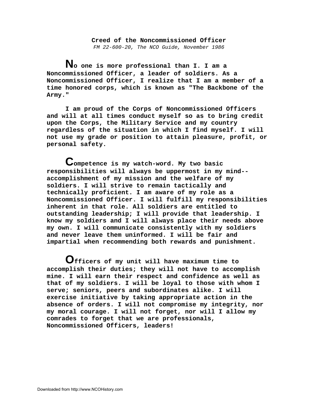**Creed of the Noncommissioned Officer** *FM 22-600-20, The NCO Guide, November 1986*

 **No one is more professional than I. I am a Noncommissioned Officer, a leader of soldiers. As a Noncommissioned Officer, I realize that I am a member of a time honored corps, which is known as "The Backbone of the Army."** 

 **I am proud of the Corps of Noncommissioned Officers and will at all times conduct myself so as to bring credit upon the Corps, the Military Service and my country regardless of the situation in which I find myself. I will not use my grade or position to attain pleasure, profit, or personal safety.** 

 **Competence is my watch-word. My two basic responsibilities will always be uppermost in my mind- accomplishment of my mission and the welfare of my soldiers. I will strive to remain tactically and technically proficient. I am aware of my role as a Noncommissioned Officer. I will fulfill my responsibilities inherent in that role. All soldiers are entitled to outstanding leadership; I will provide that leadership. I know my soldiers and I will always place their needs above my own. I will communicate consistently with my soldiers and never leave them uninformed. I will be fair and impartial when recommending both rewards and punishment.** 

 **Officers of my unit will have maximum time to accomplish their duties; they will not have to accomplish mine. I will earn their respect and confidence as well as that of my soldiers. I will be loyal to those with whom I serve; seniors, peers and subordinates alike. I will exercise initiative by taking appropriate action in the absence of orders. I will not compromise my integrity, nor my moral courage. I will not forget, nor will I allow my comrades to forget that we are professionals, Noncommissioned Officers, leaders!**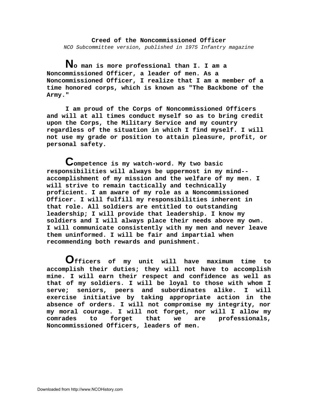**Creed of the Noncommissioned Officer** *NCO Subcommittee version, published in 1975 Infantry magazine*

 **No man is more professional than I. I am a Noncommissioned Officer, a leader of men. As a Noncommissioned Officer, I realize that I am a member of a time honored corps, which is known as "The Backbone of the Army."** 

 **I am proud of the Corps of Noncommissioned Officers and will at all times conduct myself so as to bring credit upon the Corps, the Military Service and my country regardless of the situation in which I find myself. I will not use my grade or position to attain pleasure, profit, or personal safety.** 

 **Competence is my watch-word. My two basic responsibilities will always be uppermost in my mind- accomplishment of my mission and the welfare of my men. I will strive to remain tactically and technically proficient. I am aware of my role as a Noncommissioned Officer. I will fulfill my responsibilities inherent in that role. All soldiers are entitled to outstanding leadership; I will provide that leadership. I know my soldiers and I will always place their needs above my own. I will communicate consistently with my men and never leave them uninformed. I will be fair and impartial when recommending both rewards and punishment.** 

 **Officers of my unit will have maximum time to accomplish their duties; they will not have to accomplish mine. I will earn their respect and confidence as well as that of my soldiers. I will be loyal to those with whom I serve; seniors, peers and subordinates alike. I will exercise initiative by taking appropriate action in the absence of orders. I will not compromise my integrity, nor my moral courage. I will not forget, nor will I allow my comrades to forget that we are professionals, Noncommissioned Officers, leaders of men.**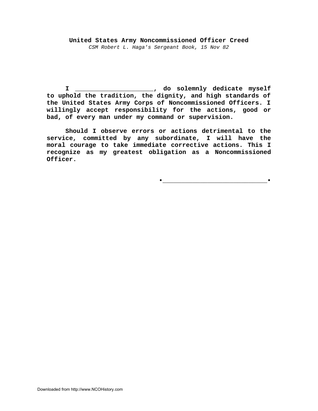## **United States Army Noncommissioned Officer Creed** *CSM Robert L. Haga's Sergeant Book, 15 Nov 82*

**I \_\_\_\_\_\_\_\_\_\_\_\_\_\_\_\_\_\_\_\_\_, do solemnly dedicate myself to uphold the tradition, the dignity, and high standards of the United States Army Corps of Noncommissioned Officers. I willingly accept responsibility for the actions, good or bad, of every man under my command or supervision.**

**Should I observe errors or actions detrimental to the service, committed by any subordinate, I will have the moral courage to take immediate corrective actions. This I recognize as my greatest obligation as a Noncommissioned Officer.**

**•\_\_\_\_\_\_\_\_\_\_\_\_\_\_\_\_\_\_\_\_\_\_\_\_\_\_\_\_•**